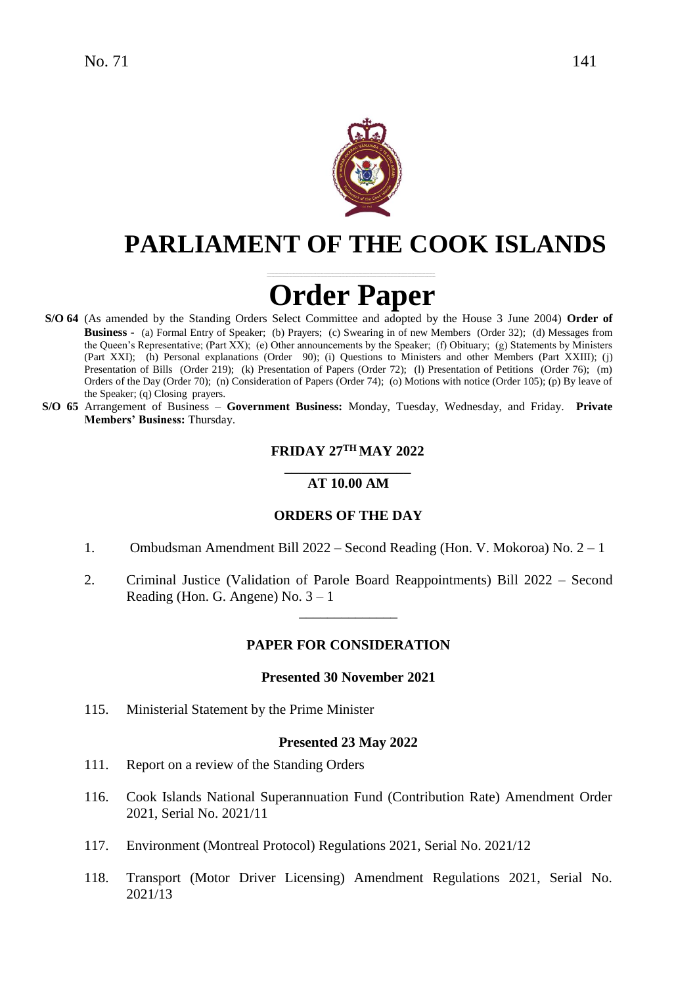

# **PARLIAMENT OF THE COOK ISLANDS**

# **Order Paper**

- **S/O 64** (As amended by the Standing Orders Select Committee and adopted by the House 3 June 2004) **Order of Business -** (a) Formal Entry of Speaker; (b) Prayers; (c) Swearing in of new Members (Order 32); (d) Messages from the Queen's Representative; (Part XX); (e) Other announcements by the Speaker; (f) Obituary; (g) Statements by Ministers (Part XXI); (h) Personal explanations (Order 90); (i) Questions to Ministers and other Members (Part XXIII); (j) Presentation of Bills (Order 219); (k) Presentation of Papers (Order 72); (l) Presentation of Petitions (Order 76); (m) Orders of the Day (Order 70); (n) Consideration of Papers (Order 74); (o) Motions with notice (Order 105); (p) By leave of the Speaker; (q) Closing prayers.
- **S/O 65** Arrangement of Business **Government Business:** Monday, Tuesday, Wednesday, and Friday. **Private Members' Business:** Thursday.

### **FRIDAY 27 TH MAY 2022**

#### **\_\_\_\_\_\_\_\_\_\_\_\_\_\_\_\_\_\_ AT 10.00 AM**

#### **ORDERS OF THE DAY**

- 1. Ombudsman Amendment Bill 2022 Second Reading (Hon. V. Mokoroa) No. 2 1
- 2. Criminal Justice (Validation of Parole Board Reappointments) Bill 2022 Second Reading (Hon. G. Angene) No.  $3 - 1$

\_\_\_\_\_\_\_\_\_\_\_\_\_\_

#### **PAPER FOR CONSIDERATION**

#### **Presented 30 November 2021**

115. Ministerial Statement by the Prime Minister

#### **Presented 23 May 2022**

- 111. Report on a review of the Standing Orders
- 116. Cook Islands National Superannuation Fund (Contribution Rate) Amendment Order 2021, Serial No. 2021/11
- 117. Environment (Montreal Protocol) Regulations 2021, Serial No. 2021/12
- 118. Transport (Motor Driver Licensing) Amendment Regulations 2021, Serial No. 2021/13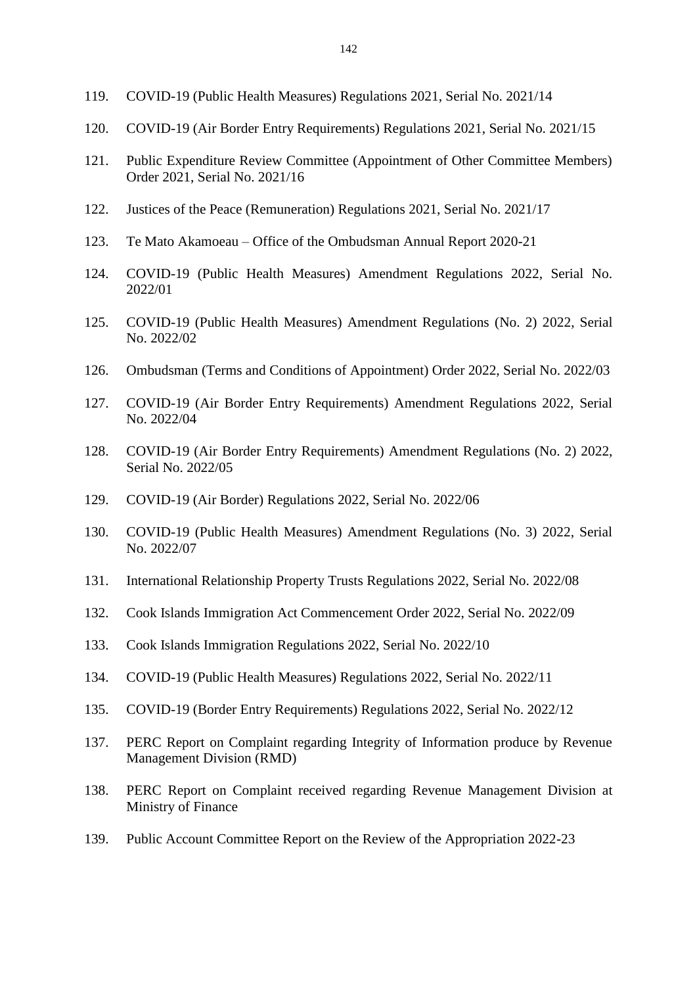- 119. COVID-19 (Public Health Measures) Regulations 2021, Serial No. 2021/14
- 120. COVID-19 (Air Border Entry Requirements) Regulations 2021, Serial No. 2021/15
- 121. Public Expenditure Review Committee (Appointment of Other Committee Members) Order 2021, Serial No. 2021/16
- 122. Justices of the Peace (Remuneration) Regulations 2021, Serial No. 2021/17
- 123. Te Mato Akamoeau Office of the Ombudsman Annual Report 2020-21
- 124. COVID-19 (Public Health Measures) Amendment Regulations 2022, Serial No. 2022/01
- 125. COVID-19 (Public Health Measures) Amendment Regulations (No. 2) 2022, Serial No. 2022/02
- 126. Ombudsman (Terms and Conditions of Appointment) Order 2022, Serial No. 2022/03
- 127. COVID-19 (Air Border Entry Requirements) Amendment Regulations 2022, Serial No. 2022/04
- 128. COVID-19 (Air Border Entry Requirements) Amendment Regulations (No. 2) 2022, Serial No. 2022/05
- 129. COVID-19 (Air Border) Regulations 2022, Serial No. 2022/06
- 130. COVID-19 (Public Health Measures) Amendment Regulations (No. 3) 2022, Serial No. 2022/07
- 131. International Relationship Property Trusts Regulations 2022, Serial No. 2022/08
- 132. Cook Islands Immigration Act Commencement Order 2022, Serial No. 2022/09
- 133. Cook Islands Immigration Regulations 2022, Serial No. 2022/10
- 134. COVID-19 (Public Health Measures) Regulations 2022, Serial No. 2022/11
- 135. COVID-19 (Border Entry Requirements) Regulations 2022, Serial No. 2022/12
- 137. PERC Report on Complaint regarding Integrity of Information produce by Revenue Management Division (RMD)
- 138. PERC Report on Complaint received regarding Revenue Management Division at Ministry of Finance
- 139. Public Account Committee Report on the Review of the Appropriation 2022-23